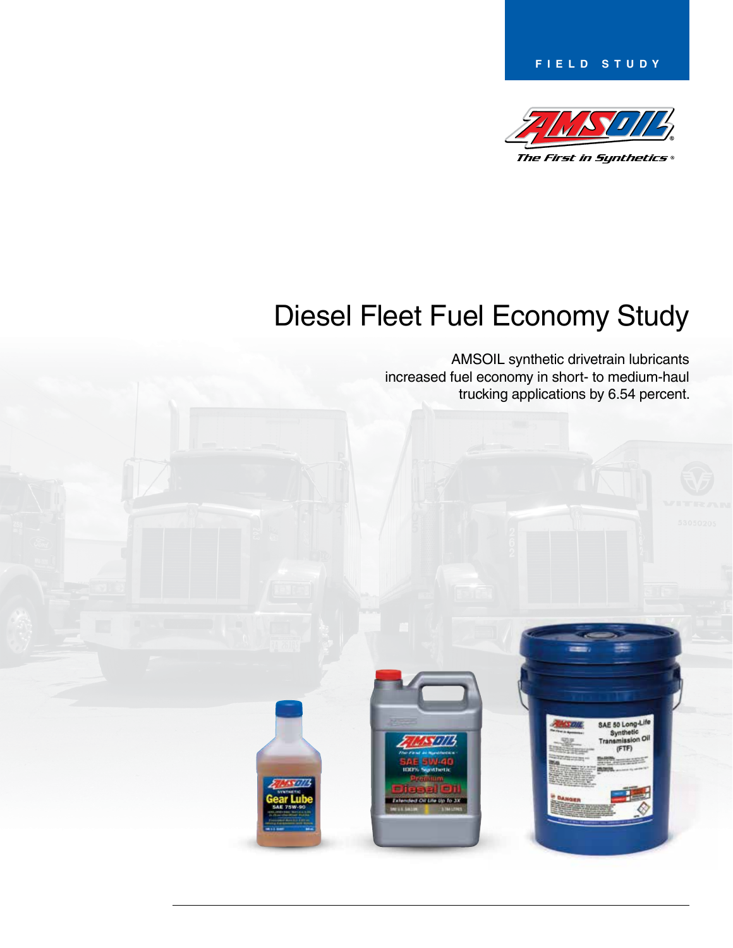**Field Study**



# Diesel Fleet Fuel Economy Study

AMSOIL synthetic drivetrain lubricants increased fuel economy in short- to medium-haul trucking applications by 6.54 percent.

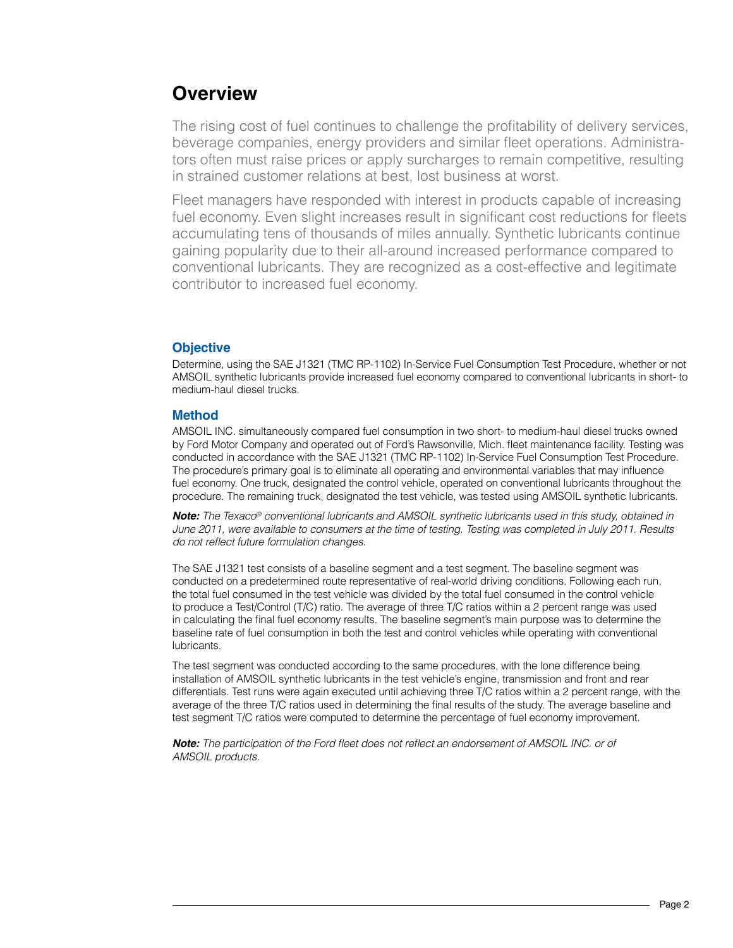### **Overview**

The rising cost of fuel continues to challenge the profitability of delivery services, beverage companies, energy providers and similar fleet operations. Administrators often must raise prices or apply surcharges to remain competitive, resulting in strained customer relations at best, lost business at worst.

Fleet managers have responded with interest in products capable of increasing fuel economy. Even slight increases result in significant cost reductions for fleets accumulating tens of thousands of miles annually. Synthetic lubricants continue gaining popularity due to their all-around increased performance compared to conventional lubricants. They are recognized as a cost-effective and legitimate contributor to increased fuel economy.

### **Objective**

Determine, using the SAE J1321 (TMC RP-1102) In-Service Fuel Consumption Test Procedure, whether or not AMSOIL synthetic lubricants provide increased fuel economy compared to conventional lubricants in short- to medium-haul diesel trucks.

#### **Method**

AMSOIL INC. simultaneously compared fuel consumption in two short- to medium-haul diesel trucks owned by Ford Motor Company and operated out of Ford's Rawsonville, Mich. fleet maintenance facility. Testing was conducted in accordance with the SAE J1321 (TMC RP-1102) In-Service Fuel Consumption Test Procedure. The procedure's primary goal is to eliminate all operating and environmental variables that may influence fuel economy. One truck, designated the control vehicle, operated on conventional lubricants throughout the procedure. The remaining truck, designated the test vehicle, was tested using AMSOIL synthetic lubricants.

*Note: The Texaco® conventional lubricants and AMSOIL synthetic lubricants used in this study, obtained in June 2011, were available to consumers at the time of testing. Testing was completed in July 2011. Results* do not reflect future formulation changes.

The SAE J1321 test consists of a baseline segment and a test segment. The baseline segment was conducted on a predetermined route representative of real-world driving conditions. Following each run, the total fuel consumed in the test vehicle was divided by the total fuel consumed in the control vehicle to produce a Test/Control (T/C) ratio. The average of three T/C ratios within a 2 percent range was used in calculating the final fuel economy results. The baseline segment's main purpose was to determine the baseline rate of fuel consumption in both the test and control vehicles while operating with conventional lubricants.

The test segment was conducted according to the same procedures, with the lone difference being installation of AMSOIL synthetic lubricants in the test vehicle's engine, transmission and front and rear differentials. Test runs were again executed until achieving three T/C ratios within a 2 percent range, with the average of the three T/C ratios used in determining the final results of the study. The average baseline and test segment T/C ratios were computed to determine the percentage of fuel economy improvement.

*Note:* The participation of the Ford fleet does not reflect an endorsement of AMSOIL INC. or of *AMSOIL products.*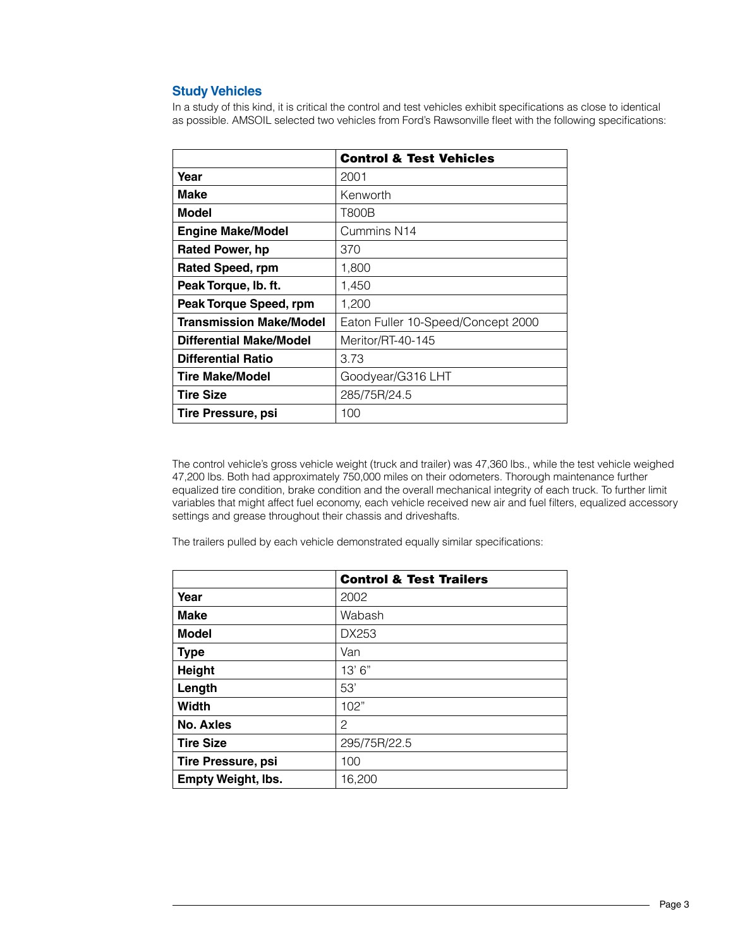### **Study Vehicles**

In a study of this kind, it is critical the control and test vehicles exhibit specifications as close to identical as possible. AMSOIL selected two vehicles from Ford's Rawsonville fleet with the following specifications:

|                                | <b>Control &amp; Test Vehicles</b> |
|--------------------------------|------------------------------------|
| Year                           | 2001                               |
| Make                           | Kenworth                           |
| Model                          | T800B                              |
| <b>Engine Make/Model</b>       | Cummins N14                        |
| <b>Rated Power, hp</b>         | 370                                |
| <b>Rated Speed, rpm</b>        | 1,800                              |
| Peak Torque, Ib. ft.           | 1,450                              |
| Peak Torque Speed, rpm         | 1,200                              |
| <b>Transmission Make/Model</b> | Eaton Fuller 10-Speed/Concept 2000 |
| Differential Make/Model        | Meritor/RT-40-145                  |
| <b>Differential Ratio</b>      | 3.73                               |
| <b>Tire Make/Model</b>         | Goodyear/G316 LHT                  |
| <b>Tire Size</b>               | 285/75R/24.5                       |
| Tire Pressure, psi             | 100                                |

The control vehicle's gross vehicle weight (truck and trailer) was 47,360 lbs., while the test vehicle weighed 47,200 lbs. Both had approximately 750,000 miles on their odometers. Thorough maintenance further equalized tire condition, brake condition and the overall mechanical integrity of each truck. To further limit variables that might affect fuel economy, each vehicle received new air and fuel filters, equalized accessory settings and grease throughout their chassis and driveshafts.

The trailers pulled by each vehicle demonstrated equally similar specifications:

|                           | <b>Control &amp; Test Trailers</b> |
|---------------------------|------------------------------------|
| Year                      | 2002                               |
| <b>Make</b>               | Wabash                             |
| <b>Model</b>              | DX253                              |
| <b>Type</b>               | Van                                |
| Height                    | 13'6''                             |
| Length                    | 53'                                |
| <b>Width</b>              | 102"                               |
| <b>No. Axles</b>          | 2                                  |
| <b>Tire Size</b>          | 295/75R/22.5                       |
| <b>Tire Pressure, psi</b> | 100                                |
| <b>Empty Weight, Ibs.</b> | 16,200                             |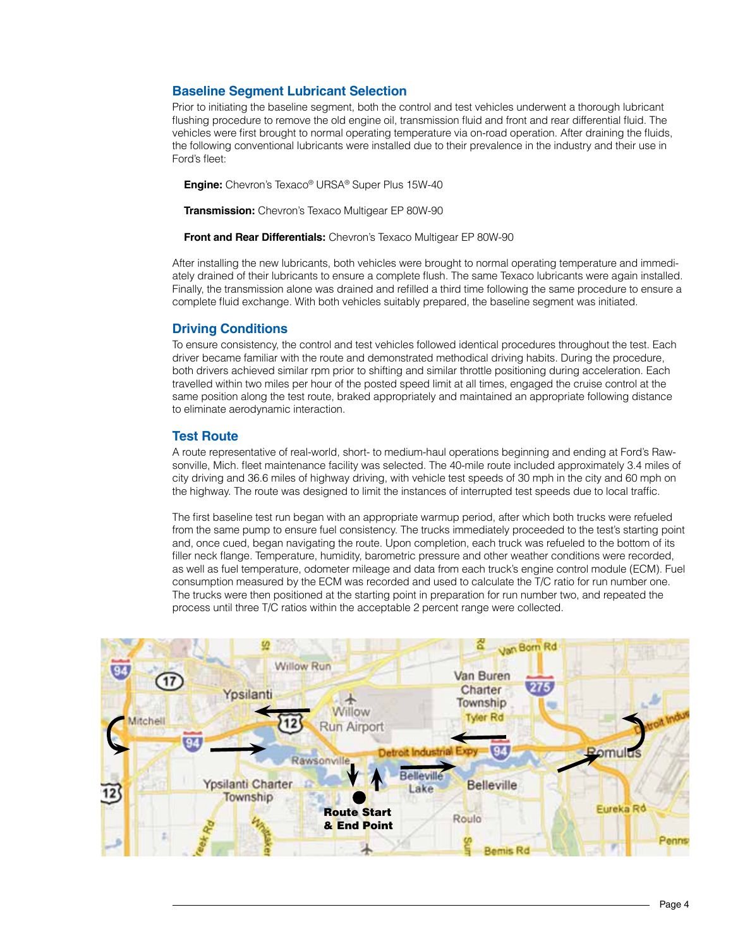### **Baseline Segment Lubricant Selection**

Prior to initiating the baseline segment, both the control and test vehicles underwent a thorough lubricant flushing procedure to remove the old engine oil, transmission fluid and front and rear differential fluid. The vehicles were first brought to normal operating temperature via on-road operation. After draining the fluids, the following conventional lubricants were installed due to their prevalence in the industry and their use in Ford's fleet:

**Engine:** Chevron's Texaco® URSA® Super Plus 15W-40

**Transmission:** Chevron's Texaco Multigear EP 80W-90

**Front and Rear Differentials:** Chevron's Texaco Multigear EP 80W-90

After installing the new lubricants, both vehicles were brought to normal operating temperature and immediately drained of their lubricants to ensure a complete flush. The same Texaco lubricants were again installed. Finally, the transmission alone was drained and refilled a third time following the same procedure to ensure a complete fluid exchange. With both vehicles suitably prepared, the baseline segment was initiated.

### **Driving Conditions**

To ensure consistency, the control and test vehicles followed identical procedures throughout the test. Each driver became familiar with the route and demonstrated methodical driving habits. During the procedure, both drivers achieved similar rpm prior to shifting and similar throttle positioning during acceleration. Each travelled within two miles per hour of the posted speed limit at all times, engaged the cruise control at the same position along the test route, braked appropriately and maintained an appropriate following distance to eliminate aerodynamic interaction.

### **Test Route**

A route representative of real-world, short- to medium-haul operations beginning and ending at Ford's Rawsonville, Mich. fleet maintenance facility was selected. The 40-mile route included approximately 3.4 miles of city driving and 36.6 miles of highway driving, with vehicle test speeds of 30 mph in the city and 60 mph on the highway. The route was designed to limit the instances of interrupted test speeds due to local traffic.

The first baseline test run began with an appropriate warmup period, after which both trucks were refueled from the same pump to ensure fuel consistency. The trucks immediately proceeded to the test's starting point and, once cued, began navigating the route. Upon completion, each truck was refueled to the bottom of its filler neck flange. Temperature, humidity, barometric pressure and other weather conditions were recorded, as well as fuel temperature, odometer mileage and data from each truck's engine control module (ECM). Fuel consumption measured by the ECM was recorded and used to calculate the T/C ratio for run number one. The trucks were then positioned at the starting point in preparation for run number two, and repeated the process until three T/C ratios within the acceptable 2 percent range were collected.

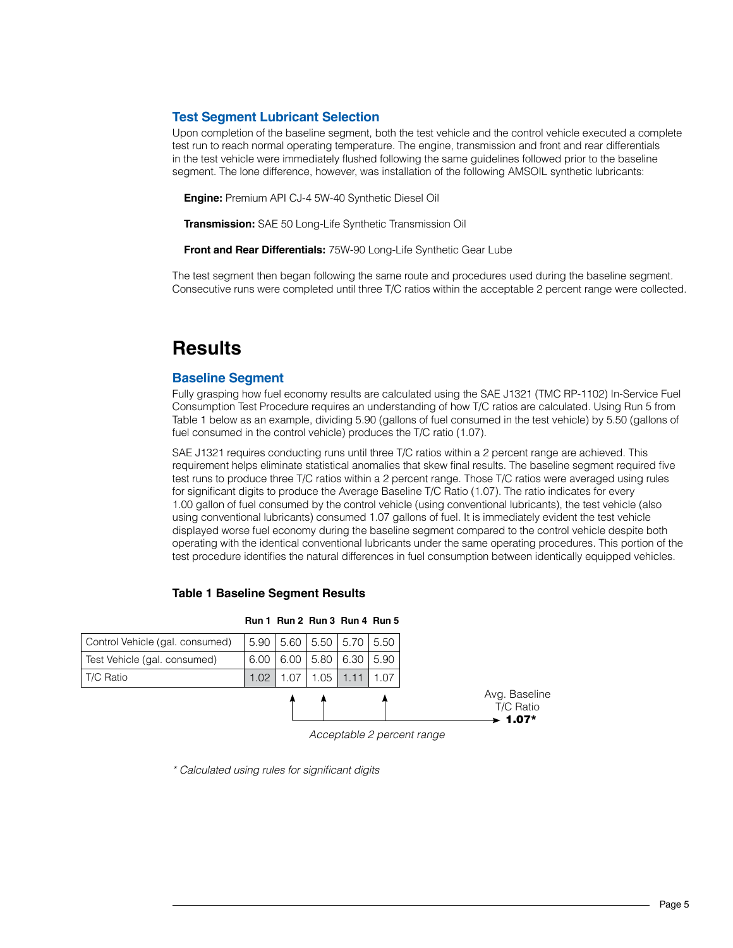### **Test Segment Lubricant Selection**

Upon completion of the baseline segment, both the test vehicle and the control vehicle executed a complete test run to reach normal operating temperature. The engine, transmission and front and rear differentials in the test vehicle were immediately flushed following the same guidelines followed prior to the baseline segment. The lone difference, however, was installation of the following AMSOIL synthetic lubricants:

**Engine:** Premium API CJ-4 5W-40 Synthetic Diesel Oil

**Transmission:** SAE 50 Long-Life Synthetic Transmission Oil

**Front and Rear Differentials:** 75W-90 Long-Life Synthetic Gear Lube

The test segment then began following the same route and procedures used during the baseline segment. Consecutive runs were completed until three T/C ratios within the acceptable 2 percent range were collected.

### **Results**

#### **Baseline Segment**

Fully grasping how fuel economy results are calculated using the SAE J1321 (TMC RP-1102) In-Service Fuel Consumption Test Procedure requires an understanding of how T/C ratios are calculated. Using Run 5 from Table 1 below as an example, dividing 5.90 (gallons of fuel consumed in the test vehicle) by 5.50 (gallons of fuel consumed in the control vehicle) produces the T/C ratio (1.07).

SAE J1321 requires conducting runs until three T/C ratios within a 2 percent range are achieved. This requirement helps eliminate statistical anomalies that skew final results. The baseline segment required five test runs to produce three T/C ratios within a 2 percent range. Those T/C ratios were averaged using rules for significant digits to produce the Average Baseline T/C Ratio (1.07). The ratio indicates for every 1.00 gallon of fuel consumed by the control vehicle (using conventional lubricants), the test vehicle (also using conventional lubricants) consumed 1.07 gallons of fuel. It is immediately evident the test vehicle displayed worse fuel economy during the baseline segment compared to the control vehicle despite both operating with the identical conventional lubricants under the same operating procedures. This portion of the test procedure identifies the natural differences in fuel consumption between identically equipped vehicles.



#### **Table 1 Baseline Segment Results**

*Acceptable 2 percent range*

\* Calculated using rules for significant digits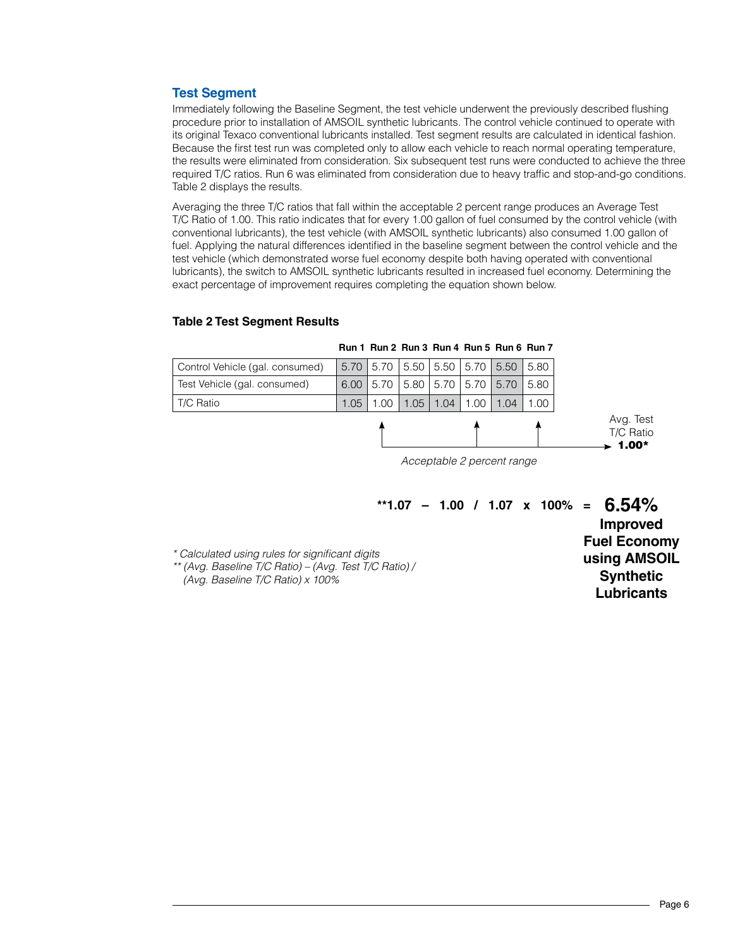### **Test Segment**

Immediately following the Baseline Segment, the test vehicle underwent the previously described flushing procedure prior to installation of AMSOIL synthetic lubricants. The control vehicle continued to operate with its original Texaco conventional lubricants installed. Test segment results are calculated in identical fashion. Because the first test run was completed only to allow each vehicle to reach normal operating temperature, the results were eliminated from consideration. Six subsequent test runs were conducted to achieve the three required T/C ratios. Run 6 was eliminated from consideration due to heavy traffic and stop-and-go conditions. Table 2 displays the results.

Averaging the three T/C ratios that fall within the acceptable 2 percent range produces an Average Test T/C Ratio of 1.00. This ratio indicates that for every 1.00 gallon of fuel consumed by the control vehicle (with conventional lubricants), the test vehicle (with AMSOIL synthetic lubricants) also consumed 1.00 gallon of fuel. Applying the natural differences identified in the baseline segment between the control vehicle and the test vehicle (which demonstrated worse fuel economy despite both having operated with conventional lubricants), the switch to AMSOIL synthetic lubricants resulted in increased fuel economy. Determining the exact percentage of improvement requires completing the equation shown below.

### **Table 2 Test Segment Results**

| $6.00$   5.70   5.80   5.70   5.70   5.70   5.80<br>Test Vehicle (gal. consumed)<br>$1.00$   1.05   1.04   1.00   1.04   1.00<br>1.05<br>T/C Ratio |                                 |  |  |  |  |  | Avg. Test<br>T/C Ratio |
|----------------------------------------------------------------------------------------------------------------------------------------------------|---------------------------------|--|--|--|--|--|------------------------|
|                                                                                                                                                    |                                 |  |  |  |  |  |                        |
|                                                                                                                                                    |                                 |  |  |  |  |  |                        |
| 5.70   5.70   5.50   5.50   5.70   5.50   5.80                                                                                                     | Control Vehicle (gal. consumed) |  |  |  |  |  |                        |

**Run 1 Run 2 Run 3 Run 4 Run 5 Run 6 Run 7**

*Acceptable 2 percent range*

|                           |  |  |  | **1.07 - 1.00 / 1.07 x 100% = $6.54\%$ |
|---------------------------|--|--|--|----------------------------------------|
|                           |  |  |  | <b>Improved</b>                        |
|                           |  |  |  | <b>Fuel Economy</b>                    |
| digits<br>st T/C Ratio) / |  |  |  | using AMSOIL                           |
|                           |  |  |  | <b>Synthetic</b>                       |
|                           |  |  |  | Lubricants                             |

\* Calculated using rules for significant d \*\* (Avg. Baseline T/C Ratio) - (Avg. Tes

(Avg. Baseline T/C Ratio) x 100%

1.00\*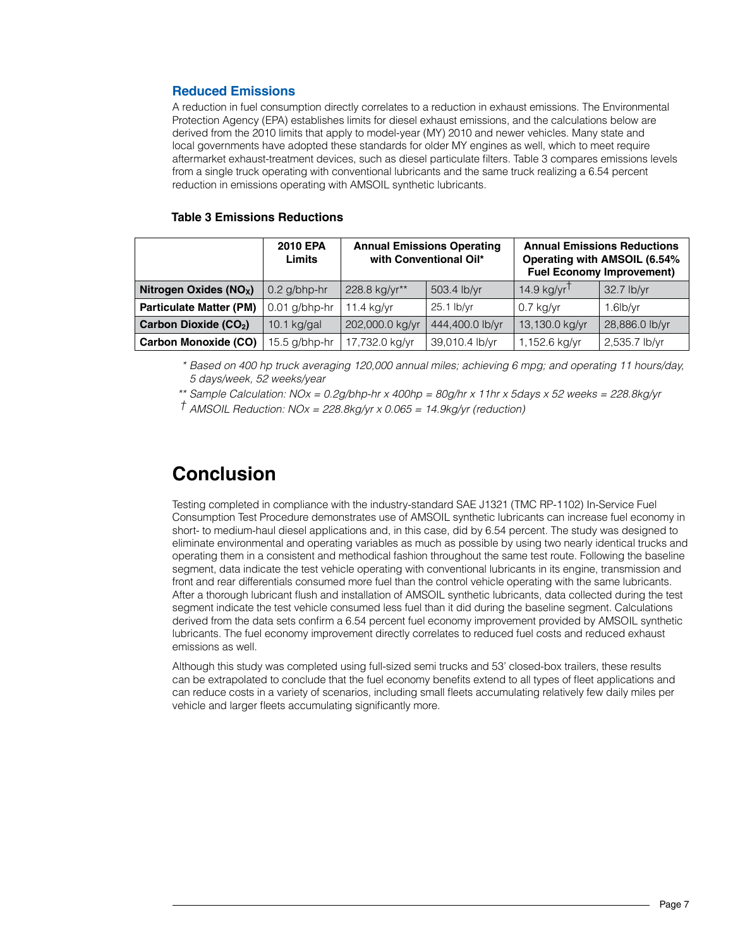### **Reduced Emissions**

A reduction in fuel consumption directly correlates to a reduction in exhaust emissions. The Environmental Protection Agency (EPA) establishes limits for diesel exhaust emissions, and the calculations below are derived from the 2010 limits that apply to model-year (MY) 2010 and newer vehicles. Many state and local governments have adopted these standards for older MY engines as well, which to meet require aftermarket exhaust-treatment devices, such as diesel particulate filters. Table 3 compares emissions levels from a single truck operating with conventional lubricants and the same truck realizing a 6.54 percent reduction in emissions operating with AMSOIL synthetic lubricants.

### **Table 3 Emissions Reductions**

|                                    | 2010 EPA<br>Limits |                 | <b>Annual Emissions Operating</b><br>with Conventional Oil* | <b>Annual Emissions Reductions</b><br><b>Operating with AMSOIL (6.54%</b><br><b>Fuel Economy Improvement)</b> |                |  |
|------------------------------------|--------------------|-----------------|-------------------------------------------------------------|---------------------------------------------------------------------------------------------------------------|----------------|--|
| Nitrogen Oxides (NO <sub>x</sub> ) | $0.2$ g/bhp-hr     | 228.8 kg/yr**   | 503.4 lb/yr                                                 | 14.9 kg/yr $^{\dagger}$                                                                                       | 32.7 lb/yr     |  |
| <b>Particulate Matter (PM)</b>     | $0.01$ g/bhp-hr    | $11.4$ kg/yr    | 25.1 lb/yr                                                  | $0.7$ kg/yr                                                                                                   | $1.6$ lb/yr    |  |
| Carbon Dioxide (CO <sub>2</sub> )  | 10.1 $kg/gal$      | 202,000.0 kg/yr | 444,400.0 lb/yr                                             | 13,130.0 kg/yr                                                                                                | 28,886.0 lb/yr |  |
| <b>Carbon Monoxide (CO)</b>        | 15.5 g/bhp-hr      | 17,732.0 kg/yr  | 39,010.4 lb/yr                                              | 1,152.6 kg/yr                                                                                                 | 2,535.7 lb/yr  |  |

*\* Based on 400 hp truck averaging 120,000 annual miles; achieving 6 mpg; and operating 11 hours/day, 5 days/week, 52 weeks/year*

*\*\** Sample Calculation: NOx = 0.2g/bhp-hr x 400hp = 80g/hr x 11hr x 5days x 52 weeks = 228.8kg/yr

*†* AMSOIL Reduction: NOx = 228.8kg/yr x 0.065 = 14.9kg/yr (reduction)

## **Conclusion**

Testing completed in compliance with the industry-standard SAE J1321 (TMC RP-1102) In-Service Fuel Consumption Test Procedure demonstrates use of AMSOIL synthetic lubricants can increase fuel economy in short- to medium-haul diesel applications and, in this case, did by 6.54 percent. The study was designed to eliminate environmental and operating variables as much as possible by using two nearly identical trucks and operating them in a consistent and methodical fashion throughout the same test route. Following the baseline segment, data indicate the test vehicle operating with conventional lubricants in its engine, transmission and front and rear differentials consumed more fuel than the control vehicle operating with the same lubricants. After a thorough lubricant flush and installation of AMSOIL synthetic lubricants, data collected during the test segment indicate the test vehicle consumed less fuel than it did during the baseline segment. Calculations derived from the data sets confirm a 6.54 percent fuel economy improvement provided by AMSOIL synthetic lubricants. The fuel economy improvement directly correlates to reduced fuel costs and reduced exhaust emissions as well.

Although this study was completed using full-sized semi trucks and 53' closed-box trailers, these results can be extrapolated to conclude that the fuel economy benefits extend to all types of fleet applications and can reduce costs in a variety of scenarios, including small fleets accumulating relatively few daily miles per vehicle and larger fleets accumulating significantly more.